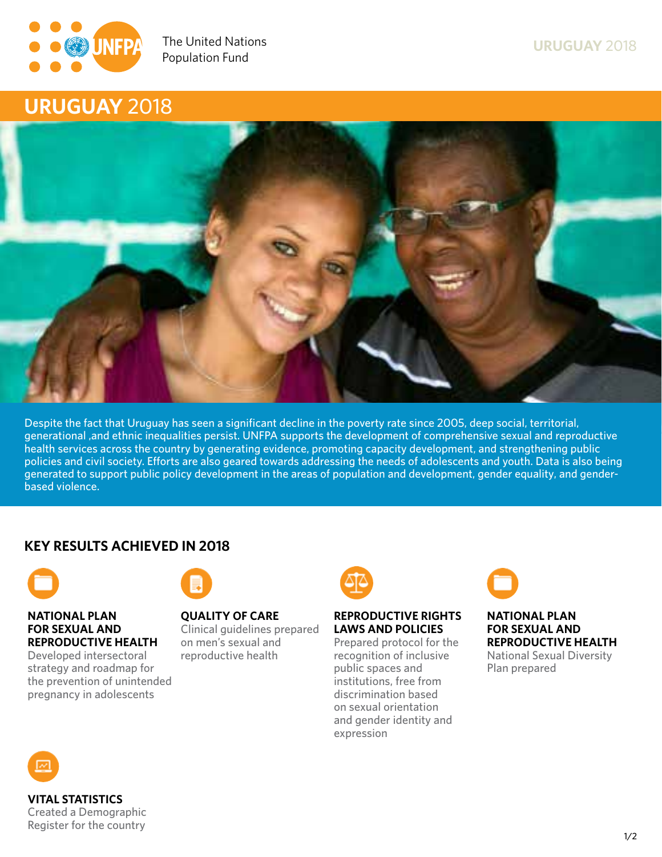

**Ensuring rights and choices for all since 1969**



**Despite the fact that Uruguay has seen a significant decline in the poverty rate since 2005, deep social, territorial, generational ,and ethnic inequalities persist. UNFPA supports the development of comprehensive sexual and reproductive health services across the country by generating evidence, promoting capacity development, and strengthening public policies and civil society. Efforts are also geared towards addressing the needs of adolescents and youth. Data is also being generated to support public policy development in the areas of population and development, gender equality, and genderbased violence.**

# **KEY RESULTS ACHIEVED IN 2018**



## **NATIONAL PLAN FOR SEXUAL AND REPRODUCTIVE HEALTH**

**Developed intersectoral strategy and roadmap for the prevention of unintended pregnancy in adolescents**



# **QUALITY OF CARE**

**Clinical guidelines prepared on men's sexual and reproductive health**

## **REPRODUCTIVE RIGHTS LAWS AND POLICIES**

**Prepared protocol for the recognition of inclusive public spaces and institutions, free from discrimination based on sexual orientation and gender identity and expression**



### **NATIONAL PLAN FOR SEXUAL AND REPRODUCTIVE HEALTH National Sexual Diversity Plan prepared**



**VITAL STATISTICS Created a Demographic Register for the country**